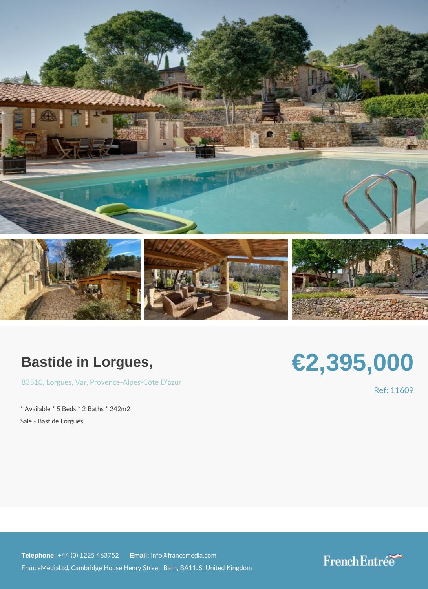## Bastide in Lorgues,

[8351](https://www.frenchentree.com/property-for-sale/property-for-sale-france/83510-xx-lorgues-xx-var-xx-provence-alpes-cote+d), Qorgue Sa, rProvence - Alp[es](https://www.frenchentree.com/property-for-sale/property-for-sale-france/var-xx-provence-alpes-cote+d) - Côte D'azur

\* Available \* 5 Beds \* 2 Baths \* 242m2 Sale - Bastide Lorgues

## €2,395,000

Ref: 1160

Telephone: +44 (0) 1225 46E3m7affi 2info@francemedia.com FranceMediaLtd, Cambridge House,Henry Street, Bath, BA11JS, United Kingdom